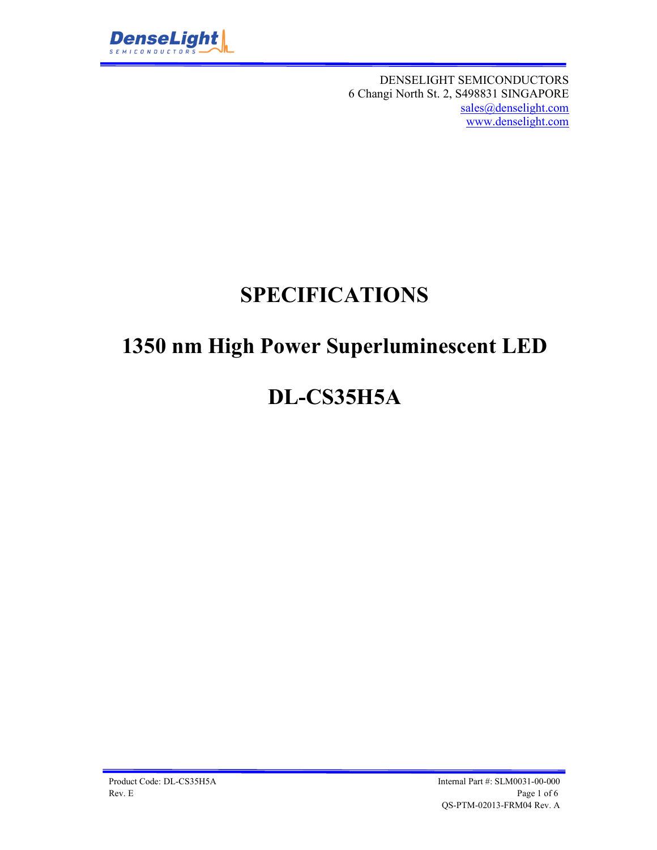

DENSELIGHT SEMICONDUCTORS 6 Changi North St. 2, S498831 SINGAPORE sales@denselight.com www.denselight.com

# **SPECIFICATIONS**

# **1350 nm High Power Superluminescent LED**

# **DL-CS35H5A**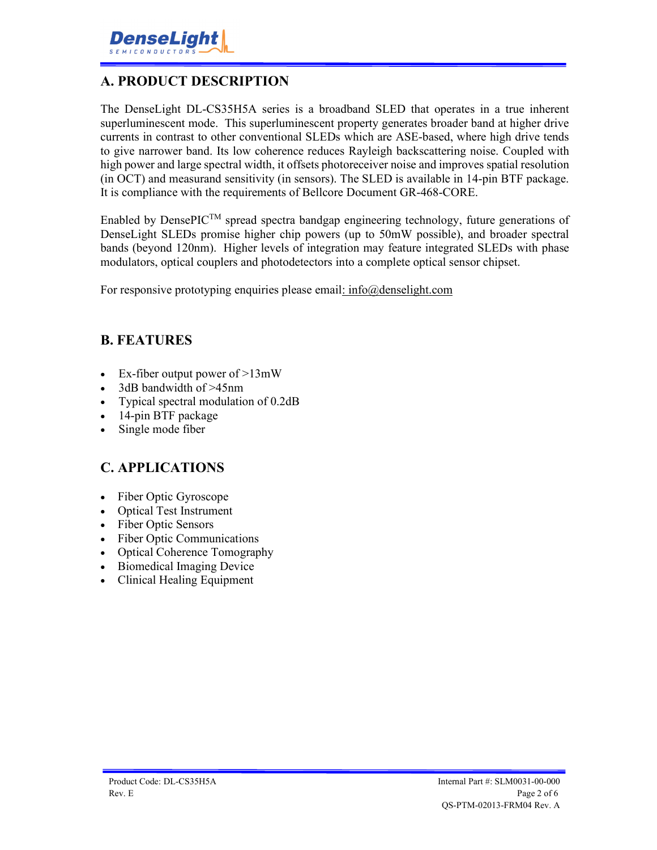

### **A. PRODUCT DESCRIPTION**

The DenseLight DL-CS35H5A series is a broadband SLED that operates in a true inherent superluminescent mode. This superluminescent property generates broader band at higher drive currents in contrast to other conventional SLEDs which are ASE-based, where high drive tends to give narrower band. Its low coherence reduces Rayleigh backscattering noise. Coupled with high power and large spectral width, it offsets photoreceiver noise and improves spatial resolution (in OCT) and measurand sensitivity (in sensors). The SLED is available in 14-pin BTF package. It is compliance with the requirements of Bellcore Document GR-468-CORE.

Enabled by DensePIC<sup>TM</sup> spread spectra bandgap engineering technology, future generations of DenseLight SLEDs promise higher chip powers (up to 50mW possible), and broader spectral bands (beyond 120nm). Higher levels of integration may feature integrated SLEDs with phase modulators, optical couplers and photodetectors into a complete optical sensor chipset.

For responsive prototyping enquiries please email: info@denselight.com

#### **B. FEATURES**

- Ex-fiber output power of  $>13$ mW
- 3dB bandwidth of >45nm
- Typical spectral modulation of 0.2dB
- 14-pin BTF package
- Single mode fiber

#### **C. APPLICATIONS**

- Fiber Optic Gyroscope
- Optical Test Instrument
- Fiber Optic Sensors
- Fiber Optic Communications
- Optical Coherence Tomography
- Biomedical Imaging Device
- Clinical Healing Equipment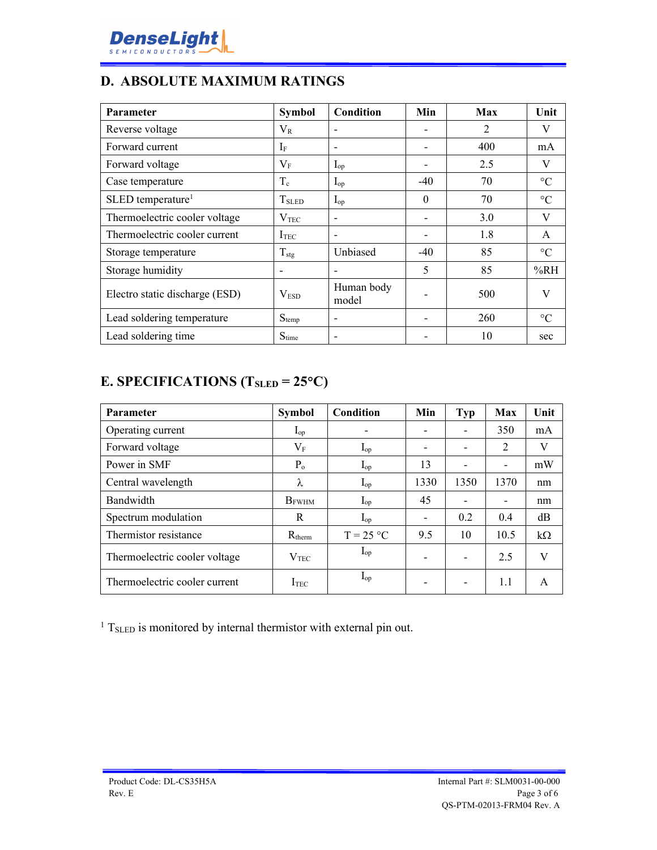

### **D. ABSOLUTE MAXIMUM RATINGS**

| <b>Parameter</b>                | <b>Symbol</b>     | <b>Condition</b>    | Min      | Max            | Unit            |
|---------------------------------|-------------------|---------------------|----------|----------------|-----------------|
| Reverse voltage                 | $\rm V_R$         |                     |          | $\overline{2}$ | V               |
| Forward current                 | $I_F$             |                     |          | 400            | mA              |
| Forward voltage                 | $V_{\rm F}$       | $I_{op}$            |          | 2.5            | V               |
| Case temperature                | $T_c$             | $I_{op}$            | $-40$    | 70             | $\rm ^{\circ}C$ |
| $SLED$ temperature <sup>1</sup> | T <sub>SLED</sub> | $I_{op}$            | $\Omega$ | 70             | $\rm ^{\circ}C$ |
| Thermoelectric cooler voltage   | $\rm V_{TEC}$     |                     |          | 3.0            | V               |
| Thermoelectric cooler current   | I <sub>TEC</sub>  |                     |          | 1.8            | A               |
| Storage temperature             | $T_{\text{stg}}$  | Unbiased            | $-40$    | 85             | $\rm ^{\circ}C$ |
| Storage humidity                |                   |                     | 5        | 85             | %RH             |
| Electro static discharge (ESD)  | V <sub>ESD</sub>  | Human body<br>model |          | 500            | V               |
| Lead soldering temperature      | $S_{temp}$        |                     |          | 260            | $\rm ^{\circ}C$ |
| Lead soldering time             | $S_{time}$        |                     |          | 10             | sec             |

# **E. SPECIFICATIONS (TSLED = 25C)**

| <b>Parameter</b>              | <b>Symbol</b>     | Condition         | Min                      | Typ                      | <b>Max</b>               | Unit      |
|-------------------------------|-------------------|-------------------|--------------------------|--------------------------|--------------------------|-----------|
| Operating current             | $\mathbf{I}_{op}$ | -                 | $\overline{\phantom{0}}$ | $\overline{\phantom{0}}$ | 350                      | mA        |
| Forward voltage               | $\rm V_F$         | $I_{op}$          | -                        |                          | $\overline{2}$           | V         |
| Power in SMF                  | $P_{o}$           | $I_{op}$          | 13                       |                          | $\overline{\phantom{a}}$ | mW        |
| Central wavelength            | λ                 | $\mathbf{I}_{op}$ | 1330                     | 1350                     | 1370                     | nm        |
| Bandwidth                     | $B_{\rm FWHM}$    | $\mathbf{I}_{op}$ | 45                       |                          | $\overline{\phantom{a}}$ | nm        |
| Spectrum modulation           | R                 | $I_{op}$          | $\overline{\phantom{a}}$ | 0.2                      | 0.4                      | dB        |
| Thermistor resistance         | $R_{therm}$       | $T = 25 °C$       | 9.5                      | 10                       | 10.5                     | $k\Omega$ |
| Thermoelectric cooler voltage | V <sub>TFC</sub>  | $I_{op}$          | $\overline{\phantom{0}}$ | $\overline{\phantom{0}}$ | 2.5                      | V         |
| Thermoelectric cooler current | I <sub>TEC</sub>  | $\mathbf{I}_{op}$ | $\overline{\phantom{0}}$ |                          | 1.1                      | A         |

<sup>1</sup> T<sub>SLED</sub> is monitored by internal thermistor with external pin out.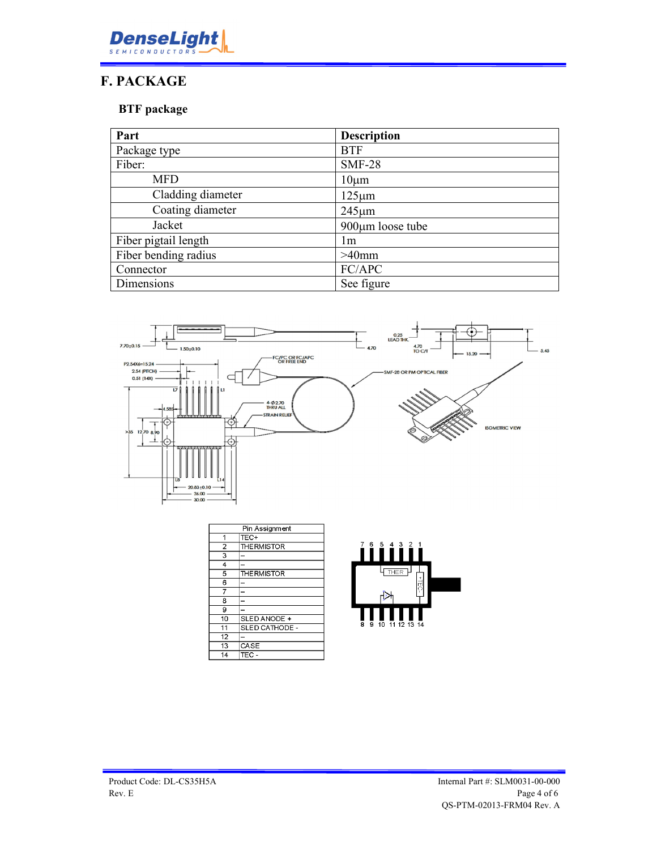

### **F. PACKAGE**

#### **BTF package**

| Part                 | <b>Description</b> |
|----------------------|--------------------|
| Package type         | <b>BTF</b>         |
| Fiber:               | <b>SMF-28</b>      |
| <b>MFD</b>           | $10 \mu m$         |
| Cladding diameter    | $125 \mu m$        |
| Coating diameter     | $245 \mu m$        |
| Jacket               | 900µm loose tube   |
| Fiber pigtail length | lm                 |
| Fiber bending radius | $>40$ mm           |
| Connector            | FC/APC             |
| Dimensions           | See figure         |



| Pin Assignment |                    |
|----------------|--------------------|
|                | TEC+               |
| $\overline{2}$ | <b>THE RMISTOR</b> |
| 3              |                    |
| $\overline{4}$ |                    |
| 5              | <b>THE RMISTOR</b> |
| 6              |                    |
|                |                    |
| 8              |                    |
| 9              |                    |
| 10             | SLED ANODE +       |
| 11             | SLED CATHODE -     |
| 12             |                    |
| 13             | CASE               |
| 14             | TEC -              |

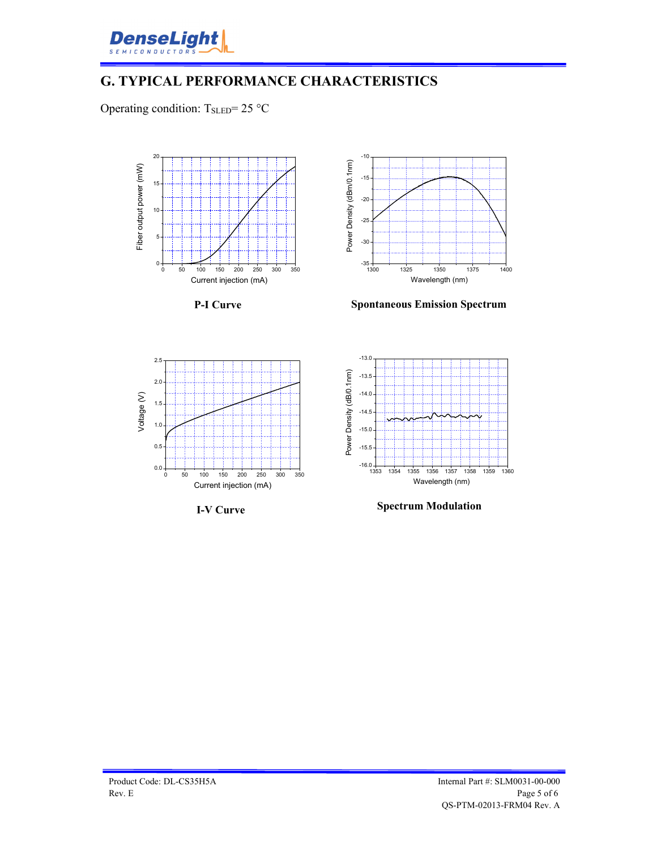

## **G. TYPICAL PERFORMANCE CHARACTERISTICS**

Operating condition:  $T_{\text{SLED}} = 25 \text{ °C}$ 



**P-I Curve**



**Spontaneous Emission Spectrum**



**I-V Curve**



**Spectrum Modulation**